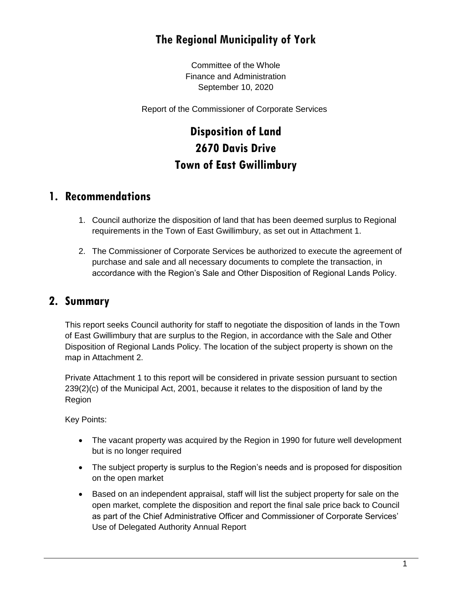## **The Regional Municipality of York**

Committee of the Whole Finance and Administration September 10, 2020

Report of the Commissioner of Corporate Services

# **Disposition of Land 2670 Davis Drive Town of East Gwillimbury**

#### **1. Recommendations**

- 1. Council authorize the disposition of land that has been deemed surplus to Regional requirements in the Town of East Gwillimbury, as set out in Attachment 1.
- 2. The Commissioner of Corporate Services be authorized to execute the agreement of purchase and sale and all necessary documents to complete the transaction, in accordance with the Region's Sale and Other Disposition of Regional Lands Policy.

## **2. Summary**

This report seeks Council authority for staff to negotiate the disposition of lands in the Town of East Gwillimbury that are surplus to the Region, in accordance with the Sale and Other Disposition of Regional Lands Policy. The location of the subject property is shown on the map in Attachment 2.

Private Attachment 1 to this report will be considered in private session pursuant to section 239(2)(c) of the Municipal Act, 2001, because it relates to the disposition of land by the Region

Key Points:

- The vacant property was acquired by the Region in 1990 for future well development but is no longer required
- The subject property is surplus to the Region's needs and is proposed for disposition on the open market
- Based on an independent appraisal, staff will list the subject property for sale on the open market, complete the disposition and report the final sale price back to Council as part of the Chief Administrative Officer and Commissioner of Corporate Services' Use of Delegated Authority Annual Report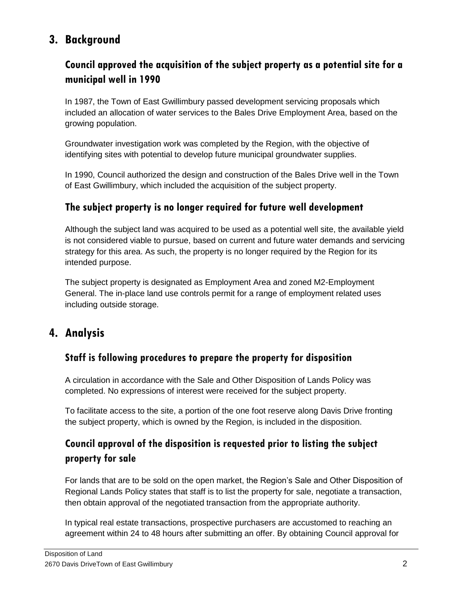## **3. Background**

## **Council approved the acquisition of the subject property as a potential site for a municipal well in 1990**

In 1987, the Town of East Gwillimbury passed development servicing proposals which included an allocation of water services to the Bales Drive Employment Area, based on the growing population.

Groundwater investigation work was completed by the Region, with the objective of identifying sites with potential to develop future municipal groundwater supplies.

In 1990, Council authorized the design and construction of the Bales Drive well in the Town of East Gwillimbury, which included the acquisition of the subject property.

#### **The subject property is no longer required for future well development**

Although the subject land was acquired to be used as a potential well site, the available yield is not considered viable to pursue, based on current and future water demands and servicing strategy for this area. As such, the property is no longer required by the Region for its intended purpose.

The subject property is designated as Employment Area and zoned M2-Employment General. The in-place land use controls permit for a range of employment related uses including outside storage.

## **4. Analysis**

#### **Staff is following procedures to prepare the property for disposition**

A circulation in accordance with the Sale and Other Disposition of Lands Policy was completed. No expressions of interest were received for the subject property.

To facilitate access to the site, a portion of the one foot reserve along Davis Drive fronting the subject property, which is owned by the Region, is included in the disposition.

## **Council approval of the disposition is requested prior to listing the subject property for sale**

For lands that are to be sold on the open market, the Region's Sale and Other Disposition of Regional Lands Policy states that staff is to list the property for sale, negotiate a transaction, then obtain approval of the negotiated transaction from the appropriate authority.

In typical real estate transactions, prospective purchasers are accustomed to reaching an agreement within 24 to 48 hours after submitting an offer. By obtaining Council approval for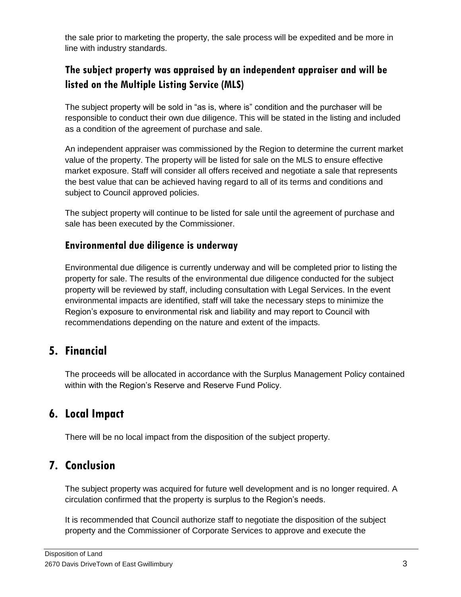the sale prior to marketing the property, the sale process will be expedited and be more in line with industry standards.

## **The subject property was appraised by an independent appraiser and will be listed on the Multiple Listing Service (MLS)**

The subject property will be sold in "as is, where is" condition and the purchaser will be responsible to conduct their own due diligence. This will be stated in the listing and included as a condition of the agreement of purchase and sale.

An independent appraiser was commissioned by the Region to determine the current market value of the property. The property will be listed for sale on the MLS to ensure effective market exposure. Staff will consider all offers received and negotiate a sale that represents the best value that can be achieved having regard to all of its terms and conditions and subject to Council approved policies.

The subject property will continue to be listed for sale until the agreement of purchase and sale has been executed by the Commissioner.

#### **Environmental due diligence is underway**

Environmental due diligence is currently underway and will be completed prior to listing the property for sale. The results of the environmental due diligence conducted for the subject property will be reviewed by staff, including consultation with Legal Services. In the event environmental impacts are identified, staff will take the necessary steps to minimize the Region's exposure to environmental risk and liability and may report to Council with recommendations depending on the nature and extent of the impacts.

## **5. Financial**

The proceeds will be allocated in accordance with the Surplus Management Policy contained within with the Region's Reserve and Reserve Fund Policy.

## **6. Local Impact**

There will be no local impact from the disposition of the subject property.

## **7. Conclusion**

The subject property was acquired for future well development and is no longer required. A circulation confirmed that the property is surplus to the Region's needs.

It is recommended that Council authorize staff to negotiate the disposition of the subject property and the Commissioner of Corporate Services to approve and execute the